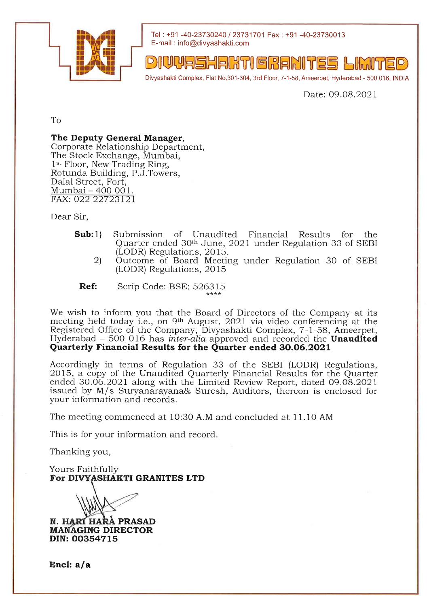

Tel: +91 -40-23730240 / 23731701 Fax: +91 -40-23730013 E-mail : info@divyashakti.com

DIUUASHAKTI GRANITES

Divyashakti Complex, Flat No.301-304, 3rd Floor, 7-1-58, Ameerpet, Hyderabad - 500 016. INDIA

Date: 09.08.2021

To

## The Deputy General Manager,

Corporate Relationship Department, The Stock Exchange, Mumbai, 1<sup>st</sup> Floor, New Trading Ring, Rotunda Building, P.J.Towers, Dalal Street, Fort, Mumbai - 400 001. FAX: O22 22723121

Dear Sir,

- Sub:1) Submission of Unaudited Financial Results for the Quarter ended 30<sup>th</sup> June, 2021 under Regulation 33 of SEBI<br>(LODR) Regulations, 2015.
	- 2) Outcome of Board Meeting under Regulation 30 of SEBI (LODR) Regulations, 20 15
	- Ref: Scrip Code: BSE: 526315

We wish to inform you that the Board of Directors of the Company at its meeting held today i.e., on 9th August, 2021 via video conferencing at the Registered Office of the Company, Divyashakti Complex, 7-l-58, Ameerpet, Hyderabad  $-500$  016 has inter-alia approved and recorded the **Unaudited** Quarterly Financial Results for the Quarter ended 30.06.2021

Accordingly in terms of Regulation 33 of the SEBI (LODR) Regulations, 2015, a copy of the Unaudited Quarterly Financial Results for the Quarter ended 30.06.2021 along with the Limited Review Report, dated 09.O8.2O21 issued by M/s Suryanarayana& Suresh, Auditors, thereon is enclosed for your information and records.

The meeting commenced at 10:30 A.M and concluded at 11.10 AM

This is for your information and record.

Thanking you,

For DIVYASHAKTI GRANITES LTD Yours Faithfull

N. HARI HARA PRASAD **MANAGING DIRECTOR** DIN: 00354715

Encl: a/a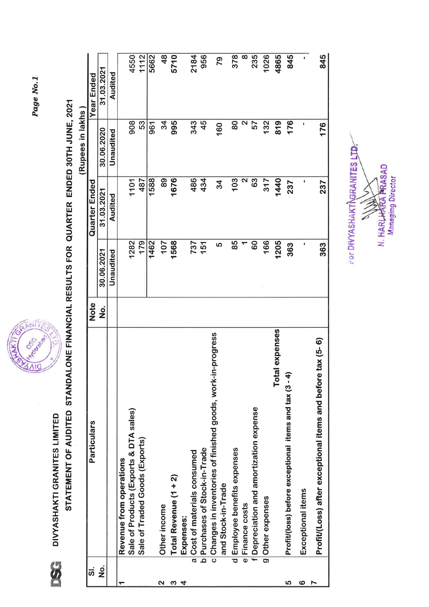Page No.1



STATEMENT OF AUDITED STANDALONE FINANCIAL RESULTS FOR QUARTER ENDED 30TH JUNE, 2021 DIVYASHAKTI GRANITES LIMITED

**98** 

(Rupees in lakhs)

| <u>ສ່</u>          | Particulars                                                                        | <b>Note</b> |            | <b>Quarter Ended</b> |            | <b>Year Ended</b> |
|--------------------|------------------------------------------------------------------------------------|-------------|------------|----------------------|------------|-------------------|
| $\dot{\mathbf{z}}$ |                                                                                    | <u>ş</u>    | 30.06.2021 | 31.03.2021           | 30.06.2020 | 31.03.2021        |
|                    |                                                                                    |             | Unaudited  | Audited              | Unaudited  | Audited           |
|                    | Revenue from operations                                                            |             |            |                      |            |                   |
|                    | Sale of Products (Exports & DTA sales)                                             |             | 1282       | 1101                 | 908        | 4550              |
|                    | Sale of Traded Goods (Exports)                                                     |             | 179        | 487                  | 53         | 1112              |
|                    |                                                                                    |             | 1462       | 1588                 | 961        | 5662              |
| ິ                  | Other income                                                                       |             | 107        | 89                   | 34         | $\frac{8}{3}$     |
| ო                  | Total Revenue (1 + 2)                                                              |             | 1568       | 1676                 | 995        | 5710              |
| 4                  | Expenses:                                                                          |             |            |                      |            |                   |
|                    | a Cost of materials consumed                                                       |             | 737        | 486                  | 343        | 2184              |
|                    | b Purchases of Stock-in-Trade                                                      |             | 151        | 434                  | 45         | 956               |
|                    | c Changes in inventories of finished goods, work-in-progress<br>and Stock-in-Trade |             | <u>လ</u>   | 34                   | 160        | 79                |
|                    | d Employee benefits expenses                                                       |             | 85         | 103                  | 80         | 378               |
|                    | e Finance costs                                                                    |             |            | N                    | 2          | $\infty$          |
|                    | f Depreciation and amortization expense                                            |             | <b>GO</b>  | 63                   | 57         | 235               |
|                    | g Other expenses                                                                   |             | 166        | 317                  | 132        | 1026              |
|                    | il expenses<br>Tota                                                                |             | 1205       | 1440                 | 819        | 4865              |
| မာ                 | Profit/(loss) before exceptional items and tax (3 - 4)                             |             | 363        | 237                  | 176        | 845               |
| ဖ                  | Exceptional items                                                                  |             | ı          | ı                    | I          | I.                |
| Ņ                  | Profit/(Loss) after exceptional items and before tax (5-6)                         |             | 363        | 237                  | 176        | 845               |

FOR DIVYASHAKT **NGRANITES LTD** N. HARLHARA PRASAD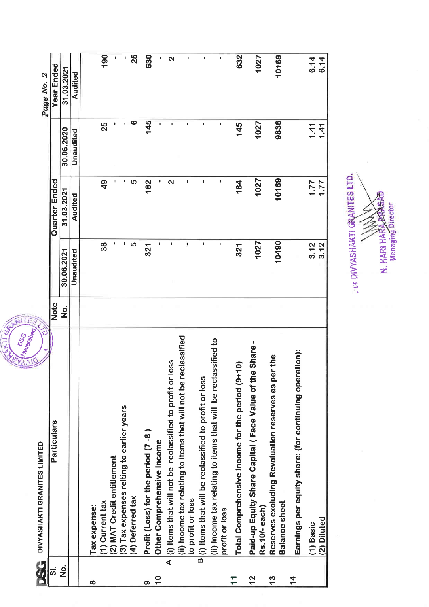|                    | <b>I HOTEL BOAD!</b><br><b>DRC</b>                                                   | ALL S              |                |                   |                |                   |
|--------------------|--------------------------------------------------------------------------------------|--------------------|----------------|-------------------|----------------|-------------------|
| t<br>1             | Õ<br>DIVYASHAKTI GRANITES LIMITED                                                    |                    |                |                   |                | Page No. 2        |
| <u>.</u>           | Particulars                                                                          | <b>Note</b>        |                | Quarter Ended     |                | Year Ended        |
| $\dot{\mathbf{z}}$ |                                                                                      | $\dot{\mathbf{z}}$ | 30.06.2021     | 31.03.2021        | 30.06.2020     | 31.03.2021        |
|                    |                                                                                      |                    | Unaudited      | Audited           | Unaudited      | Audited           |
| ထ                  | Tax expense:                                                                         |                    |                |                   |                |                   |
|                    | (1) Current tax                                                                      |                    | 38             | $\frac{1}{4}$     | 25             | 190               |
|                    | (2) MAT Credit entitlement                                                           |                    |                |                   | ٠              | I.                |
|                    | (3) Tax expenses relting to earlier years                                            |                    | ٠              |                   |                | ŧ.                |
|                    | (4) Deferred tax                                                                     |                    | 5              | မာ                | ဖ              | 25                |
| တ                  | Profit (Loss) for the period (7-8)                                                   |                    | 321            | 182               | 145            | 630               |
| $\frac{0}{1}$      | Other Comprehensive Income                                                           |                    |                |                   |                | ٠                 |
|                    | A (i) Items that will not be reclassified to profit or loss                          |                    |                | $\mathbf{\Omega}$ |                | $\mathbf{\Omega}$ |
|                    | (ii) Income tax relating to items that will not be reclassified<br>to profit or loss |                    | 1              | ٠                 | $\blacksquare$ |                   |
|                    | B (i) Items that will be reclassified to profit or loss                              |                    | $\blacksquare$ | ٠                 | $\blacksquare$ |                   |
|                    | (ii) Income tax relating to items that will be reclassified to                       |                    | ı              | I                 | ٠              | ı                 |
|                    | profit or loss                                                                       |                    |                |                   |                |                   |
| $\mathbf{1}$       | Total Comprehensive Income for the period (9+10)                                     |                    | 321            | 184               | 145            | 632               |
| $\frac{2}{3}$      | Paid-up Equity Share Capital (Face Value of the Share -<br>Rs.10/-each)              |                    | 1027           | 1027              | 1027           | 1027              |
| $\frac{3}{2}$      | Reserves excluding Revaluation reserves as per the<br><b>Balance sheet</b>           |                    | 10490          | 10169             | 9836           | 10169             |
| $\frac{4}{5}$      | Earnings per equity share: (for continuing operation):                               |                    |                |                   |                |                   |
|                    | (1) Basic                                                                            |                    | 3.12           | $7.77$<br>77.1    | 1.47           | 6.14              |
|                    | (2) Diluted                                                                          |                    | 3.12           |                   |                | 6.14              |

N. HARI HARA PRASAD  $\tilde{\phantom{0}}$ 

FOR DIVYASHAKTI GRANITES LTD.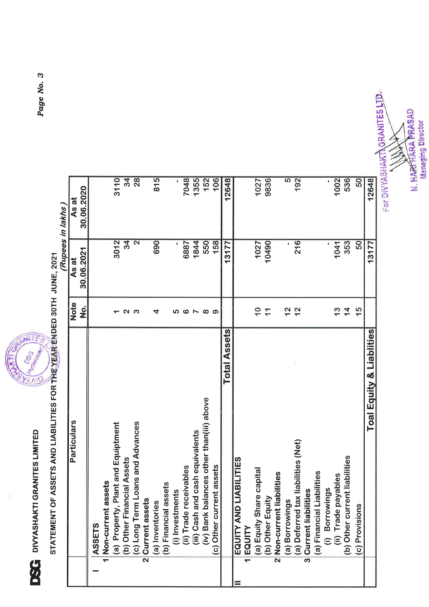



STATEMENT OF ASSETS AND LIABILITIES FOR THE YEAR ENDED 30TH JUNE, 2021

|                                                                                                    |                          |                         | (Rupees in lakhs) |
|----------------------------------------------------------------------------------------------------|--------------------------|-------------------------|-------------------|
| Particulars                                                                                        | <b>Note</b>              | As at                   | As at             |
|                                                                                                    | <u>oj</u>                | 30.06.2021              | 30.06.2020        |
| ASSETS                                                                                             |                          |                         |                   |
| 1 Non-current assets                                                                               |                          |                         |                   |
| (a) Property, Plant and Equiptment                                                                 |                          | 3012                    | 3110              |
| (b) Other Financial Assets                                                                         | N                        | $\overline{34}$         | $\frac{4}{3}$     |
| Loans and Advances<br>(c) Long Term                                                                | က                        | $\overline{\mathbf{N}}$ | $\overline{28}$   |
| Current assets<br>$\overline{\mathbf{z}}$                                                          |                          |                         |                   |
| (a) Inventories                                                                                    | 4                        | 690                     | $\overline{815}$  |
| (b) Financial assets                                                                               |                          |                         |                   |
| (i) Investments                                                                                    | ၒ                        |                         |                   |
| (ii) Trade receivables                                                                             | ဖ                        | 6887                    | 7048              |
|                                                                                                    | $\overline{\phantom{a}}$ | 1844                    | 1355              |
| lances other than(iii) above<br>(iii) Cash and cash equivalents<br>(iv) Bank balances other than(i | $\infty$                 | 550                     | $152$             |
| (c) Other current assets                                                                           | ာ                        | 158                     | 106               |
| <b>Total Assets</b>                                                                                |                          | 13177                   | 12648             |
| EQUITY AND LIABILITIES                                                                             |                          |                         |                   |
| 1 EQUITY                                                                                           |                          |                         |                   |
| (a) Equity Share capital                                                                           | $\overline{0}$           | 1027                    | 1027              |
| (b) Other Equity                                                                                   | $\mathcal{L}$            | 10490                   | 9836              |
| 2 Non-current liabilities                                                                          |                          |                         |                   |
| (a) Borrowings                                                                                     | $\frac{2}{3}$            |                         | $\overline{5}$    |
| (a) Deferred tax liabilities (Net)                                                                 | 12                       | $216$                   | 192               |
| 3 Current liabilities                                                                              |                          |                         |                   |
| (a) Financial Liabilities                                                                          |                          |                         |                   |
| (i) Borrowings                                                                                     |                          |                         |                   |
| (ii) Trade payables                                                                                | $\frac{3}{1}$            | 1041                    | 1002              |
| nt liabilities<br>(b) Other curre                                                                  | $\frac{4}{4}$            | 353                     | 536               |
| (c) Provisions                                                                                     | $\frac{5}{1}$            | 50                      | $\overline{50}$   |
| <b>Toal Equity &amp; Liablities</b>                                                                |                          | 13177                   | 12648             |

For DIVYASHAKT\GRANITES LTD-

N. HARTFIARA PRASAD<br>Managing Director

Page No. 3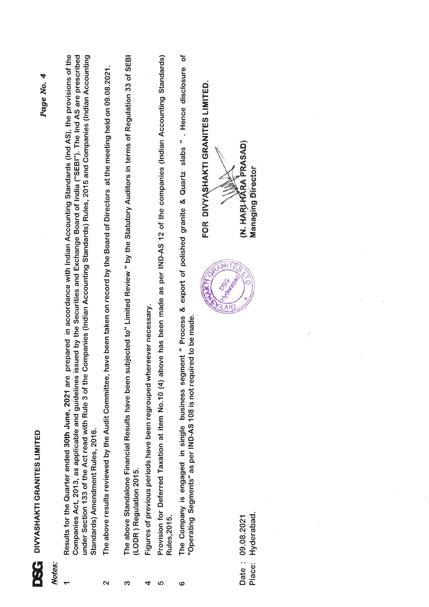| ٦<br>L<br>í  |  |
|--------------|--|
| j<br>١<br>l, |  |
| ĵ            |  |
|              |  |

## Notes:

- Page No. 4
- Results for the Quarter ended 30th June, 2021 are prepared in accordance with Indian Accounting Standards (Ind AS), the provisions of the Companies Act, 2013, as applicable and guidelines issued by the Securities and Exchange Board of India ("SEBI"). The Ind AS are prescribed under Section 133 of the Act read with Rule 3 of the Companies (Indian Accounting Standards) Rules, 2015 and Companies (Indian Accounting Standards) Amendment Rules, 2016.
- The above results reviewed by the Audit Committee, have been taken on record by the Board of Directors at the meeting held on 09.08.2021.  $\overline{\mathbf{c}}$
- The above Standalone Financial Results have been subjected to" Limited Review " by the Statutory Auditors in terms of Regulation 33 of SEBI (LODR) Regulation 2015. က
- Figures of previous periods have been regrouped whereever necessary. 4
- Provision for Deferred Taxation at item No.10 (4) above has been made as per IND-AS 12 of the companies (Indian Accounting Standards) **Rules, 2015.** ഗ
- The Company is engaged in single business segment " Process & export of polished granite & Quartz slabs " . Hence disclosure of "Operating Segments" as per IND-AS 108 is not required to be made. ဖ

Hyderabad. Date: 09.08.2021 Place:



(N. HARIHARA PRASAD)

FOR DIVYASHAKTI GRANITES LIMITED.

**Managing Director**